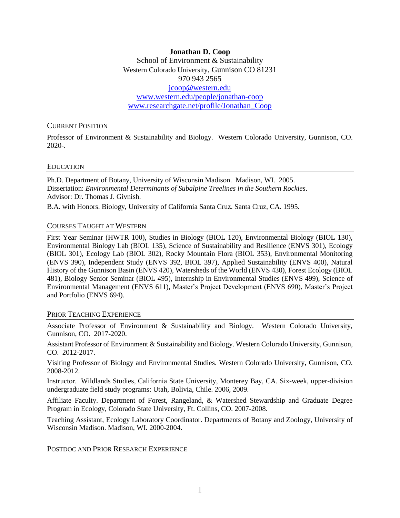**Jonathan D. Coop** School of Environment & Sustainability Western Colorado University, Gunnison CO 81231 970 943 2565 [jcoop@western.edu](mailto:jcoop@western.edu) [www.western.edu/people/jonathan-coop](http://www.western.edu/people/jonathan-coop) www.researchgate.net/profile/Jonathan\_Coop

#### CURRENT POSITION

Professor of Environment & Sustainability and Biology. Western Colorado University, Gunnison, CO. 2020-.

#### EDUCATION

Ph.D. Department of Botany, University of Wisconsin Madison. Madison, WI. 2005. Dissertation: *Environmental Determinants of Subalpine Treelines in the Southern Rockies*. Advisor: Dr. Thomas J. Givnish.

B.A. with Honors. Biology, University of California Santa Cruz. Santa Cruz, CA. 1995.

#### COURSES TAUGHT AT WESTERN

First Year Seminar (HWTR 100), Studies in Biology (BIOL 120), Environmental Biology (BIOL 130), Environmental Biology Lab (BIOL 135), Science of Sustainability and Resilience (ENVS 301), Ecology (BIOL 301), Ecology Lab (BIOL 302), Rocky Mountain Flora (BIOL 353), Environmental Monitoring (ENVS 390), Independent Study (ENVS 392, BIOL 397), Applied Sustainability (ENVS 400), Natural History of the Gunnison Basin (ENVS 420), Watersheds of the World (ENVS 430), Forest Ecology (BIOL 481), Biology Senior Seminar (BIOL 495), Internship in Environmental Studies (ENVS 499), Science of Environmental Management (ENVS 611), Master's Project Development (ENVS 690), Master's Project and Portfolio (ENVS 694).

#### PRIOR TEACHING EXPERIENCE

Associate Professor of Environment & Sustainability and Biology. Western Colorado University, Gunnison, CO. 2017-2020.

Assistant Professor of Environment & Sustainability and Biology. Western Colorado University, Gunnison, CO. 2012-2017.

Visiting Professor of Biology and Environmental Studies. Western Colorado University, Gunnison, CO. 2008-2012.

Instructor. Wildlands Studies, California State University, Monterey Bay, CA. Six-week, upper-division undergraduate field study programs: Utah, Bolivia, Chile. 2006, 2009.

Affiliate Faculty. Department of Forest, Rangeland, & Watershed Stewardship and Graduate Degree Program in Ecology, Colorado State University, Ft. Collins, CO. 2007-2008.

Teaching Assistant, Ecology Laboratory Coordinator. Departments of Botany and Zoology, University of Wisconsin Madison. Madison, WI. 2000-2004.

#### POSTDOC AND PRIOR RESEARCH EXPERIENCE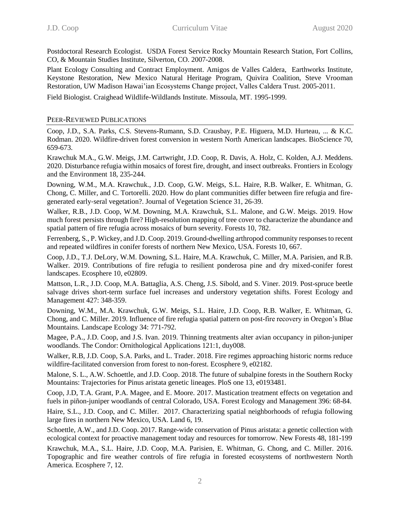Postdoctoral Research Ecologist. USDA Forest Service Rocky Mountain Research Station, Fort Collins, CO, & Mountain Studies Institute, Silverton, CO. 2007-2008.

Plant Ecology Consulting and Contract Employment. Amigos de Valles Caldera, Earthworks Institute, Keystone Restoration, New Mexico Natural Heritage Program, Quivira Coalition, Steve Vrooman Restoration, UW Madison Hawai'ian Ecosystems Change project, Valles Caldera Trust. 2005-2011.

Field Biologist. Craighead Wildlife-Wildlands Institute. Missoula, MT. 1995-1999.

## PEER-REVIEWED PUBLICATIONS

Coop, J.D., S.A. Parks, C.S. Stevens-Rumann, S.D. Crausbay, P.E. Higuera, M.D. Hurteau, ... & K.C. Rodman. 2020. Wildfire-driven forest conversion in western North American landscapes. BioScience 70, 659-673.

Krawchuk M.A., G.W. Meigs, J.M. Cartwright, J.D. Coop, R. Davis, A. Holz, C. Kolden, A.J. Meddens. 2020. Disturbance refugia within mosaics of forest fire, drought, and insect outbreaks. Frontiers in Ecology and the Environment 18, 235-244.

Downing, W.M., M.A. Krawchuk., J.D. Coop, G.W. Meigs, S.L. Haire, R.B. Walker, E. Whitman, G. Chong, C. Miller, and C. Tortorelli. 2020. How do plant communities differ between fire refugia and fire‐ generated early‐seral vegetation?. Journal of Vegetation Science 31, 26-39.

Walker, R.B., J.D. Coop, W.M. Downing, M.A. Krawchuk, S.L. Malone, and G.W. Meigs. 2019. How much forest persists through fire? High-resolution mapping of tree cover to characterize the abundance and spatial pattern of fire refugia across mosaics of burn severity. Forests 10, 782.

Ferrenberg, S., P. Wickey, and J.D. Coop. 2019. Ground-dwelling arthropod community responses to recent and repeated wildfires in conifer forests of northern New Mexico, USA. Forests 10, 667.

Coop, J.D., T.J. DeLory, W.M. Downing, S.L. Haire, M.A. Krawchuk, C. Miller, M.A. Parisien, and R.B. Walker. 2019. Contributions of fire refugia to resilient ponderosa pine and dry mixed-conifer forest landscapes. Ecosphere 10, e02809.

Mattson, L.R., J.D. Coop, M.A. Battaglia, A.S. Cheng, J.S. Sibold, and S. Viner. 2019. Post-spruce beetle salvage drives short-term surface fuel increases and understory vegetation shifts. Forest Ecology and Management 427: 348-359.

Downing, W.M., M.A. Krawchuk, G.W. Meigs, S.L. Haire, J.D. Coop, R.B. Walker, E. Whitman, G. Chong, and C. Miller. 2019. Influence of fire refugia spatial pattern on post-fire recovery in Oregon's Blue Mountains. Landscape Ecology 34: 771-792.

Magee, P.A., J.D. Coop, and J.S. Ivan. 2019. Thinning treatments alter avian occupancy in piñon-juniper woodlands. The Condor: Ornithological Applications 121:1, duy008.

Walker, R.B, J.D. Coop, S.A. Parks, and L. Trader. 2018. Fire regimes approaching historic norms reduce wildfire-facilitated conversion from forest to non-forest. Ecosphere 9, e02182.

Malone, S. L., A.W. Schoettle, and J.D. Coop. 2018. The future of subalpine forests in the Southern Rocky Mountains: Trajectories for Pinus aristata genetic lineages. PloS one 13, e0193481.

Coop, J.D, T.A. Grant, P.A. Magee, and E. Moore. 2017. Mastication treatment effects on vegetation and fuels in piñon-juniper woodlands of central Colorado, USA. Forest Ecology and Management 396: 68-84.

Haire, S.L., J.D. Coop, and C. Miller. 2017. Characterizing spatial neighborhoods of refugia following large fires in northern New Mexico, USA. Land 6, 19.

Schoettle, A.W., and J.D. Coop. 2017. Range-wide conservation of Pinus aristata: a genetic collection with ecological context for proactive management today and resources for tomorrow. New Forests 48, 181-199

Krawchuk, M.A., S.L. Haire, J.D. Coop, M.A. Parisien, E. Whitman, G. Chong, and C. Miller. 2016. Topographic and fire weather controls of fire refugia in forested ecosystems of northwestern North America. Ecosphere 7, 12.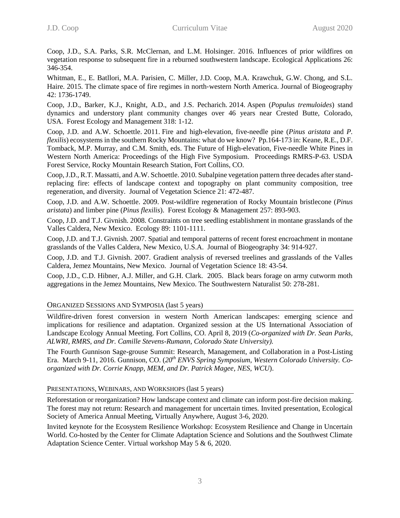Coop, J.D., S.A. Parks, S.R. McClernan, and L.M. Holsinger. 2016. Influences of prior wildfires on vegetation response to subsequent fire in a reburned southwestern landscape. Ecological Applications 26: 346-354.

Whitman, E., E. Batllori, M.A. Parisien, C. Miller, J.D. Coop, M.A. Krawchuk, G.W. Chong, and S.L. Haire. 2015. The climate space of fire regimes in north‐western North America. Journal of Biogeography 42: 1736-1749.

Coop, J.D., Barker, K.J., Knight, A.D., and J.S. Pecharich. 2014. Aspen (*Populus tremuloides*) stand dynamics and understory plant community changes over 46 years near Crested Butte, Colorado, USA. Forest Ecology and Management 318: 1-12.

Coop, J.D. and A.W. Schoettle. 2011. Fire and high-elevation, five-needle pine (*Pinus aristata* and *P. flexilis*) ecosystems in the southern Rocky Mountains: what do we know? Pp.164-173 in: Keane, R.E., D.F. Tomback, M.P. Murray, and C.M. Smith, eds. The Future of High-elevation, Five-needle White Pines in Western North America: Proceedings of the High Five Symposium. Proceedings RMRS-P-63. USDA Forest Service, Rocky Mountain Research Station, Fort Collins, CO.

Coop, J.D., R.T. Massatti, and A.W. Schoettle. 2010. Subalpine vegetation pattern three decades after standreplacing fire: effects of landscape context and topography on plant community composition, tree regeneration, and diversity. Journal of Vegetation Science 21: 472-487.

Coop, J.D. and A.W. Schoettle. 2009. Post-wildfire regeneration of Rocky Mountain bristlecone (*Pinus aristata*) and limber pine (*Pinus flexilis*). Forest Ecology & Management 257: 893-903.

Coop, J.D. and T.J. Givnish. 2008. Constraints on tree seedling establishment in montane grasslands of the Valles Caldera, New Mexico. Ecology 89: 1101-1111.

Coop, J.D. and T.J. Givnish. 2007. Spatial and temporal patterns of recent forest encroachment in montane grasslands of the Valles Caldera, New Mexico, U.S.A. Journal of Biogeography 34: 914-927.

Coop, J.D. and T.J. Givnish. 2007. Gradient analysis of reversed treelines and grasslands of the Valles Caldera, Jemez Mountains, New Mexico. Journal of Vegetation Science 18: 43-54.

Coop, J.D., C.D. Hibner, A.J. Miller, and G.H. Clark. 2005. Black bears forage on army cutworm moth aggregations in the Jemez Mountains, New Mexico. The Southwestern Naturalist 50: 278-281.

### ORGANIZED SESSIONS AND SYMPOSIA (last 5 years)

Wildfire-driven forest conversion in western North American landscapes: emerging science and implications for resilience and adaptation. Organized session at the US International Association of Landscape Ecology Annual Meeting. Fort Collins, CO. April 8, 2019 (*Co-organized with Dr. Sean Parks, ALWRI, RMRS, and Dr. Camille Stevens-Rumann, Colorado State University).*

The Fourth Gunnison Sage-grouse Summit: Research, Management, and Collaboration in a Post-Listing Era. March 9-11, 2016. Gunnison, CO. (*20th ENVS Spring Symposium, Western Colorado University. Coorganized with Dr. Corrie Knapp, MEM, and Dr. Patrick Magee, NES, WCU*).

### PRESENTATIONS, WEBINARS, AND WORKSHOPS (last 5 years)

Reforestation or reorganization? How landscape context and climate can inform post-fire decision making. The forest may not return: Research and management for uncertain times. Invited presentation, Ecological Society of America Annual Meeting, Virtually Anywhere, August 3-6, 2020.

Invited keynote for the Ecosystem Resilience Workshop: Ecosystem Resilience and Change in Uncertain World. Co-hosted by the Center for Climate Adaptation Science and Solutions and the Southwest Climate Adaptation Science Center. Virtual workshop May 5 & 6, 2020.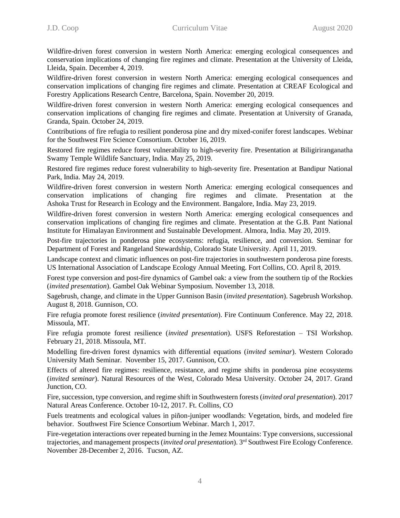Wildfire-driven forest conversion in western North America: emerging ecological consequences and conservation implications of changing fire regimes and climate. Presentation at the University of Lleida, Lleida, Spain. December 4, 2019.

Wildfire-driven forest conversion in western North America: emerging ecological consequences and conservation implications of changing fire regimes and climate. Presentation at CREAF Ecological and Forestry Applications Research Centre, Barcelona, Spain. November 20, 2019.

Wildfire-driven forest conversion in western North America: emerging ecological consequences and conservation implications of changing fire regimes and climate. Presentation at University of Granada, Granda, Spain. October 24, 2019.

Contributions of fire refugia to resilient ponderosa pine and dry mixed-conifer forest landscapes. Webinar for the Southwest Fire Science Consortium. October 16, 2019.

Restored fire regimes reduce forest vulnerability to high-severity fire. Presentation at Biligiriranganatha Swamy Temple Wildlife Sanctuary, India. May 25, 2019.

Restored fire regimes reduce forest vulnerability to high-severity fire. Presentation at Bandipur National Park, India. May 24, 2019.

Wildfire-driven forest conversion in western North America: emerging ecological consequences and conservation implications of changing fire regimes and climate. Presentation at the Ashoka Trust for Research in Ecology and the Environment. Bangalore, India. May 23, 2019.

Wildfire-driven forest conversion in western North America: emerging ecological consequences and conservation implications of changing fire regimes and climate. Presentation at the G.B. Pant National Institute for Himalayan Environment and Sustainable Development. Almora, India. May 20, 2019.

Post-fire trajectories in ponderosa pine ecosystems: refugia, resilience, and conversion. Seminar for Department of Forest and Rangeland Stewardship, Colorado State University. April 11, 2019.

Landscape context and climatic influences on post-fire trajectories in southwestern ponderosa pine forests. US International Association of Landscape Ecology Annual Meeting. Fort Collins, CO. April 8, 2019.

Forest type conversion and post-fire dynamics of Gambel oak: a view from the southern tip of the Rockies (*invited presentation*). Gambel Oak Webinar Symposium. November 13, 2018.

Sagebrush, change, and climate in the Upper Gunnison Basin (*invited presentation*). Sagebrush Workshop. August 8, 2018. Gunnison, CO.

Fire refugia promote forest resilience (*invited presentation*). Fire Continuum Conference. May 22, 2018. Missoula, MT.

Fire refugia promote forest resilience (*invited presentation*). USFS Reforestation – TSI Workshop. February 21, 2018. Missoula, MT.

Modelling fire-driven forest dynamics with differential equations (*invited seminar*). Western Colorado University Math Seminar. November 15, 2017. Gunnison, CO.

Effects of altered fire regimes: resilience, resistance, and regime shifts in ponderosa pine ecosystems (*invited seminar*). Natural Resources of the West, Colorado Mesa University. October 24, 2017. Grand Junction, CO.

Fire, succession, type conversion, and regime shift in Southwestern forests (*invited oral presentation*). 2017 Natural Areas Conference. October 10-12, 2017. Ft. Collins, CO

Fuels treatments and ecological values in piñon-juniper woodlands: Vegetation, birds, and modeled fire behavior. Southwest Fire Science Consortium Webinar. March 1, 2017.

Fire-vegetation interactions over repeated burning in the Jemez Mountains: Type conversions, successional trajectories, and management prospects (*invited oral presentation*). 3 rd Southwest Fire Ecology Conference. November 28-December 2, 2016. Tucson, AZ.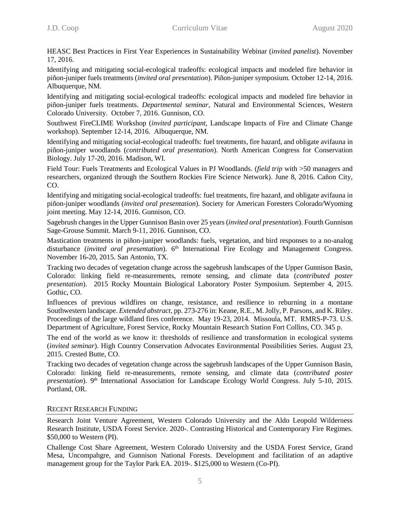HEASC Best Practices in First Year Experiences in Sustainability Webinar (*invited panelist*). November 17, 2016.

Identifying and mitigating social-ecological tradeoffs: ecological impacts and modeled fire behavior in piñon-juniper fuels treatments (*invited oral presentation*). Piñon-juniper symposium. October 12-14, 2016. Albuquerque, NM.

Identifying and mitigating social-ecological tradeoffs: ecological impacts and modeled fire behavior in piñon-juniper fuels treatments. *Departmental seminar*, Natural and Environmental Sciences, Western Colorado University. October 7, 2016. Gunnison, CO.

Southwest FireCLIME Workshop (*invited participant,* Landscape Impacts of Fire and Climate Change workshop). September 12-14, 2016. Albuquerque, NM.

Identifying and mitigating social-ecological tradeoffs: fuel treatments, fire hazard, and obligate avifauna in piñon-juniper woodlands (*contributed oral presentation*). North American Congress for Conservation Biology. July 17-20, 2016. Madison, WI.

Field Tour: Fuels Treatments and Ecological Values in PJ Woodlands. (*field trip* with >50 managers and researchers, organized through the Southern Rockies Fire Science Network). June 8, 2016. Cañon City, CO.

Identifying and mitigating social-ecological tradeoffs: fuel treatments, fire hazard, and obligate avifauna in piñon-juniper woodlands (*invited oral presentation*). Society for American Foresters Colorado/Wyoming joint meeting. May 12-14, 2016. Gunnison, CO.

Sagebrush changes in the Upper Gunnison Basin over 25 years (*invited oral presentation*). Fourth Gunnison Sage-Grouse Summit. March 9-11, 2016. Gunnison, CO.

Mastication treatments in piñon-juniper woodlands: fuels, vegetation, and bird responses to a no-analog disturbance (*invited oral presentation*). 6<sup>th</sup> International Fire Ecology and Management Congress. November 16-20, 2015. San Antonio, TX.

Tracking two decades of vegetation change across the sagebrush landscapes of the Upper Gunnison Basin, Colorado: linking field re-measurements, remote sensing, and climate data (*contributed poster presentation*). 2015 Rocky Mountain Biological Laboratory Poster Symposium. September 4, 2015. Gothic, CO.

Influences of previous wildfires on change, resistance, and resilience to reburning in a montane Southwestern landscape. *Extended abstract*, pp. 273-276 in: Keane, R.E., M. Jolly, P. Parsons, and K. Riley. Proceedings of the large wildland fires conference. May 19-23, 2014. Missoula, MT. RMRS-P-73. U.S. Department of Agriculture, Forest Service, Rocky Mountain Research Station Fort Collins, CO. 345 p.

The end of the world as we know it: thresholds of resilience and transformation in ecological systems (*invited seminar*). High Country Conservation Advocates Environmental Possibilities Series. August 23, 2015. Crested Butte, CO.

Tracking two decades of vegetation change across the sagebrush landscapes of the Upper Gunnison Basin, Colorado: linking field re-measurements, remote sensing, and climate data (*contributed poster presentation*). 9<sup>th</sup> International Association for Landscape Ecology World Congress. July 5-10, 2015. Portland, OR.

### RECENT RESEARCH FUNDING

Research Joint Venture Agreement, Western Colorado University and the Aldo Leopold Wilderness Research Institute, USDA Forest Service. 2020-. Contrasting Historical and Contemporary Fire Regimes. \$50,000 to Western (PI).

Challenge Cost Share Agreement, Western Colorado University and the USDA Forest Service, Grand Mesa, Uncompahgre, and Gunnison National Forests. Development and facilitation of an adaptive management group for the Taylor Park EA. 2019-. \$125,000 to Western (Co-PI).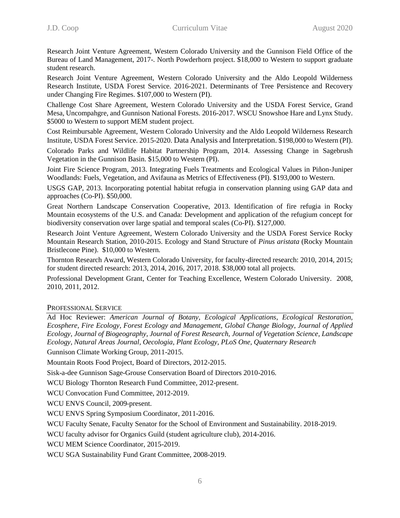Research Joint Venture Agreement, Western Colorado University and the Gunnison Field Office of the Bureau of Land Management, 2017-. North Powderhorn project. \$18,000 to Western to support graduate student research.

Research Joint Venture Agreement, Western Colorado University and the Aldo Leopold Wilderness Research Institute, USDA Forest Service. 2016-2021. Determinants of Tree Persistence and Recovery under Changing Fire Regimes. \$107,000 to Western (PI).

Challenge Cost Share Agreement, Western Colorado University and the USDA Forest Service, Grand Mesa, Uncompahgre, and Gunnison National Forests. 2016-2017. WSCU Snowshoe Hare and Lynx Study. \$5000 to Western to support MEM student project.

Cost Reimbursable Agreement, Western Colorado University and the Aldo Leopold Wilderness Research Institute, USDA Forest Service. 2015-2020. Data Analysis and Interpretation. \$198,000 to Western (PI).

Colorado Parks and Wildlife Habitat Partnership Program, 2014. Assessing Change in Sagebrush Vegetation in the Gunnison Basin. \$15,000 to Western (PI).

Joint Fire Science Program, 2013. Integrating Fuels Treatments and Ecological Values in Piñon-Juniper Woodlands: Fuels, Vegetation, and Avifauna as Metrics of Effectiveness (PI). \$193,000 to Western.

USGS GAP, 2013. Incorporating potential habitat refugia in conservation planning using GAP data and approaches (Co-PI). \$50,000.

Great Northern Landscape Conservation Cooperative, 2013. Identification of fire refugia in Rocky Mountain ecosystems of the U.S. and Canada: Development and application of the refugium concept for biodiversity conservation over large spatial and temporal scales (Co-PI). \$127,000.

Research Joint Venture Agreement, Western Colorado University and the USDA Forest Service Rocky Mountain Research Station, 2010-2015. Ecology and Stand Structure of *Pinus aristata* (Rocky Mountain Bristlecone Pine). \$10,000 to Western.

Thornton Research Award, Western Colorado University, for faculty-directed research: 2010, 2014, 2015; for student directed research: 2013, 2014, 2016, 2017, 2018. \$38,000 total all projects.

Professional Development Grant, Center for Teaching Excellence, Western Colorado University. 2008, 2010, 2011, 2012.

# PROFESSIONAL SERVICE

Ad Hoc Reviewer: *American Journal of Botany, Ecological Applications*, *Ecological Restoration, Ecosphere, Fire Ecology, Forest Ecology and Management, Global Change Biology, Journal of Applied Ecology, Journal of Biogeography, Journal of Forest Research, Journal of Vegetation Science, Landscape Ecology, Natural Areas Journal, Oecologia, Plant Ecology, PLoS One, Quaternary Research*

Gunnison Climate Working Group, 2011-2015.

Mountain Roots Food Project, Board of Directors, 2012-2015.

Sisk-a-dee Gunnison Sage-Grouse Conservation Board of Directors 2010-2016.

WCU Biology Thornton Research Fund Committee, 2012-present.

WCU Convocation Fund Committee, 2012-2019.

WCU ENVS Council, 2009-present.

WCU ENVS Spring Symposium Coordinator, 2011-2016.

WCU Faculty Senate, Faculty Senator for the School of Environment and Sustainability. 2018-2019.

WCU faculty advisor for Organics Guild (student agriculture club), 2014-2016.

WCU MEM Science Coordinator, 2015-2019.

WCU SGA Sustainability Fund Grant Committee, 2008-2019.